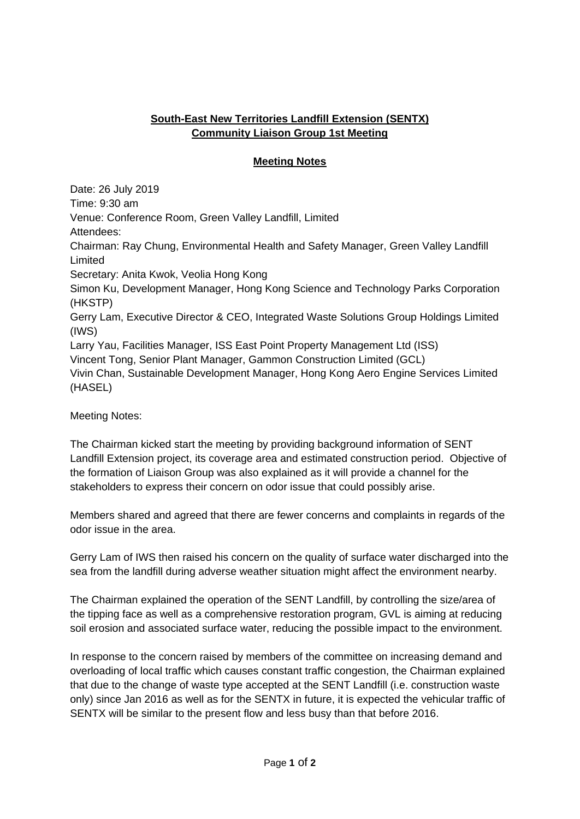## **South-East New Territories Landfill Extension (SENTX) Community Liaison Group 1st Meeting**

## **Meeting Notes**

Date: 26 July 2019 Time: 9:30 am Venue: Conference Room, Green Valley Landfill, Limited Attendees: Chairman: Ray Chung, Environmental Health and Safety Manager, Green Valley Landfill Limited Secretary: Anita Kwok, Veolia Hong Kong Simon Ku, Development Manager, Hong Kong Science and Technology Parks Corporation (HKSTP) Gerry Lam, Executive Director & CEO, Integrated Waste Solutions Group Holdings Limited (IWS) Larry Yau, Facilities Manager, ISS East Point Property Management Ltd (ISS) Vincent Tong, Senior Plant Manager, Gammon Construction Limited (GCL) Vivin Chan, Sustainable Development Manager, Hong Kong Aero Engine Services Limited (HASEL)

Meeting Notes:

The Chairman kicked start the meeting by providing background information of SENT Landfill Extension project, its coverage area and estimated construction period. Objective of the formation of Liaison Group was also explained as it will provide a channel for the stakeholders to express their concern on odor issue that could possibly arise.

Members shared and agreed that there are fewer concerns and complaints in regards of the odor issue in the area.

Gerry Lam of IWS then raised his concern on the quality of surface water discharged into the sea from the landfill during adverse weather situation might affect the environment nearby.

The Chairman explained the operation of the SENT Landfill, by controlling the size/area of the tipping face as well as a comprehensive restoration program, GVL is aiming at reducing soil erosion and associated surface water, reducing the possible impact to the environment.

In response to the concern raised by members of the committee on increasing demand and overloading of local traffic which causes constant traffic congestion, the Chairman explained that due to the change of waste type accepted at the SENT Landfill (i.e. construction waste only) since Jan 2016 as well as for the SENTX in future, it is expected the vehicular traffic of SENTX will be similar to the present flow and less busy than that before 2016.